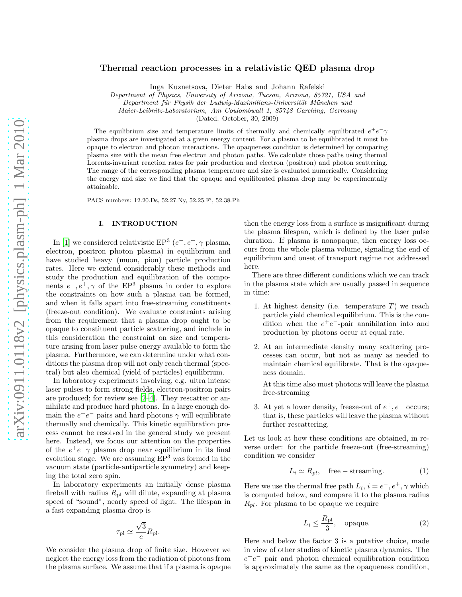# Thermal reaction processes in a relativistic QED plasma drop

Inga Kuznetsova, Dieter Habs and Johann Rafelski

Department of Physics, University of Arizona, Tucson, Arizona, 85721, USA and

Department für Physik der Ludwig-Maximilians-Universität München und

Maier-Leibnitz-Laboratorium, Am Coulombwall 1, 85748 Garching, Germany

(Dated: October, 30, 2009)

The equilibrium size and temperature limits of thermally and chemically equilibrated  $e^+e^- \gamma$ plasma drops are investigated at a given energy content. For a plasma to be equilibrated it must be opaque to electron and photon interactions. The opaqueness condition is determined by comparing plasma size with the mean free electron and photon paths. We calculate those paths using thermal Lorentz-invariant reaction rates for pair production and electron (positron) and photon scattering. The range of the corresponding plasma temperature and size is evaluated numerically. Considering the energy and size we find that the opaque and equilibrated plasma drop may be experimentally attainable.

PACS numbers: 12.20.Ds, 52.27.Ny, 52.25.Fi, 52.38.Ph

# I. INTRODUCTION

In [\[1](#page-14-0)] we considered relativistic EP<sup>3</sup>  $(e^-, e^+, \gamma)$  plasma, electron, positron photon plasma) in equilibrium and have studied heavy (muon, pion) particle production rates. Here we extend considerably these methods and study the production and equilibration of the components  $e^-, e^+, \gamma$  of the EP<sup>3</sup> plasma in order to explore the constraints on how such a plasma can be formed, and when it falls apart into free-streaming constituents (freeze-out condition). We evaluate constraints arising from the requirement that a plasma drop ought to be opaque to constituent particle scattering, and include in this consideration the constraint on size and temperature arising from laser pulse energy available to form the plasma. Furthermore, we can determine under what conditions the plasma drop will not only reach thermal (spectral) but also chemical (yield of particles) equilibrium.

In laboratory experiments involving, e.g. ultra intense laser pulses to form strong fields, electron-positron pairs are produced; for review see [\[2](#page-14-1)[–4](#page-14-2)]. They rescatter or annihilate and produce hard photons. In a large enough domain the  $e^+e^-$  pairs and hard photons  $\gamma$  will equilibrate thermally and chemically. This kinetic equilibration process cannot be resolved in the general study we present here. Instead, we focus our attention on the properties of the  $e^+e^-\gamma$  plasma drop near equilibrium in its final evolution stage. We are assuming  $EP<sup>3</sup>$  was formed in the vacuum state (particle-antiparticle symmetry) and keeping the total zero spin.

In laboratory experiments an initially dense plasma fireball with radius  $R_{\text{pl}}$  will dilute, expanding at plasma speed of "sound", nearly speed of light. The lifespan in a fast expanding plasma drop is

$$
\tau_{\rm pl} \simeq \frac{\sqrt{3}}{c} R_{\rm pl}.
$$

We consider the plasma drop of finite size. However we neglect the energy loss from the radiation of photons from the plasma surface. We assume that if a plasma is opaque

then the energy loss from a surface is insignificant during the plasma lifespan, which is defined by the laser pulse duration. If plasma is nonopaque, then energy loss occurs from the whole plasma volume, signaling the end of equilibrium and onset of transport regime not addressed here.

There are three different conditions which we can track in the plasma state which are usually passed in sequence in time:

- 1. At highest density (i.e. temperature  $T$ ) we reach particle yield chemical equilibrium. This is the condition when the  $e^+e^-$ -pair annihilation into and production by photons occur at equal rate.
- 2. At an intermediate density many scattering processes can occur, but not as many as needed to maintain chemical equilibrate. That is the opaqueness domain.

At this time also most photons will leave the plasma free-streaming

3. At yet a lower density, freeze-out of  $e^+, e^-$  occurs; that is, these particles will leave the plasma without further rescattering.

Let us look at how these conditions are obtained, in reverse order: for the particle freeze-out (free-streaming) condition we consider

$$
L_i \simeq R_{pl}, \quad \text{free - streaming.} \tag{1}
$$

Here we use the thermal free path  $L_i$ ,  $i = e^-$ ,  $e^+$ ,  $\gamma$  which is computed below, and compare it to the plasma radius  $R_{pl}$ . For plasma to be opaque we require

<span id="page-0-0"></span>
$$
L_i \le \frac{R_{\rm pl}}{3}, \quad \text{opaque.} \tag{2}
$$

Here and below the factor 3 is a putative choice, made in view of other studies of kinetic plasma dynamics. The  $e^+e^-$  pair and photon chemical equilibration condition is approximately the same as the opaqueness condition,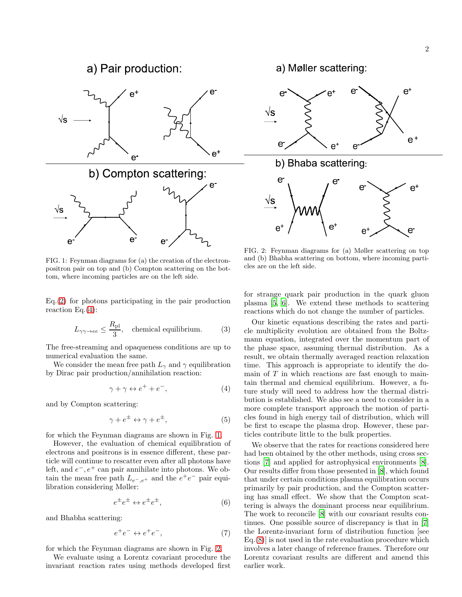

<span id="page-1-1"></span>FIG. 1: Feynman diagrams for (a) the creation of the electronpositron pair on top and (b) Compton scattering on the bottom, where incoming particles are on the left side.

 $Eq. (2)$  $Eq. (2)$  for photons participating in the pair production reaction Eq. $(4)$ :

<span id="page-1-3"></span>
$$
L_{\gamma\gamma \to ee} \le \frac{R_{\rm pl}}{3}
$$
, chemical equilibrium. (3)

The free-streaming and opaqueness conditions are up to numerical evaluation the same.

We consider the mean free path  $L_{\gamma}$  and  $\gamma$  equilibration by Dirac pair production/annihilation reaction:

<span id="page-1-0"></span>
$$
\gamma + \gamma \leftrightarrow e^+ + e^-, \tag{4}
$$

and by Compton scattering:

<span id="page-1-6"></span>
$$
\gamma + e^{\pm} \leftrightarrow \gamma + e^{\pm}, \tag{5}
$$

for which the Feynman diagrams are shown in Fig. [1.](#page-1-1)

However, the evaluation of chemical equilibration of electrons and positrons is in essence different, these particle will continue to rescatter even after all photons have left, and  $e^-, e^+$  can pair annihilate into photons. We obtain the mean free path  $L_{e^-,\,e^+}$  and the  $e^+e^-$  pair equilibration considering Møller:

<span id="page-1-4"></span>
$$
e^{\pm}e^{\pm} \leftrightarrow e^{\pm}e^{\pm}, \tag{6}
$$

and Bhabha scattering:

<span id="page-1-5"></span>
$$
e^+e^- \leftrightarrow e^+e^-, \tag{7}
$$

for which the Feynman diagrams are shown in Fig. [2.](#page-1-2)

We evaluate using a Lorentz covariant procedure the invariant reaction rates using methods developed first a) Møller scattering:



<span id="page-1-2"></span>FIG. 2: Feynman diagrams for (a) Møller scattering on top and (b) Bhabha scattering on bottom, where incoming particles are on the left side.

for strange quark pair production in the quark gluon plasma [\[5](#page-14-3), [6\]](#page-14-4). We extend these methods to scattering reactions which do not change the number of particles.

Our kinetic equations describing the rates and particle multiplicity evolution are obtained from the Boltzmann equation, integrated over the momentum part of the phase space, assuming thermal distribution. As a result, we obtain thermally averaged reaction relaxation time. This approach is appropriate to identify the domain of  $T$  in which reactions are fast enough to maintain thermal and chemical equilibrium. However, a future study will need to address how the thermal distribution is established. We also see a need to consider in a more complete transport approach the motion of particles found in high energy tail of distribution, which will be first to escape the plasma drop. However, these particles contribute little to the bulk properties.

We observe that the rates for reactions considered here had been obtained by the other methods, using cross sections [\[7](#page-14-5)] and applied for astrophysical environments [\[8](#page-14-6)]. Our results differ from those presented in [\[8\]](#page-14-6), which found that under certain conditions plasma equilibration occurs primarily by pair production, and the Compton scattering has small effect. We show that the Compton scattering is always the dominant process near equilibrium. The work to reconcile [\[8](#page-14-6)] with our covariant results continues. One possible source of discrepancy is that in [\[7](#page-14-5)] the Lorentz-invariant form of distribution function [see Eq.[\(8\)](#page-2-0)] is not used in the rate evaluation procedure which involves a later change of reference frames. Therefore our Lorentz covariant results are different and amend this earlier work.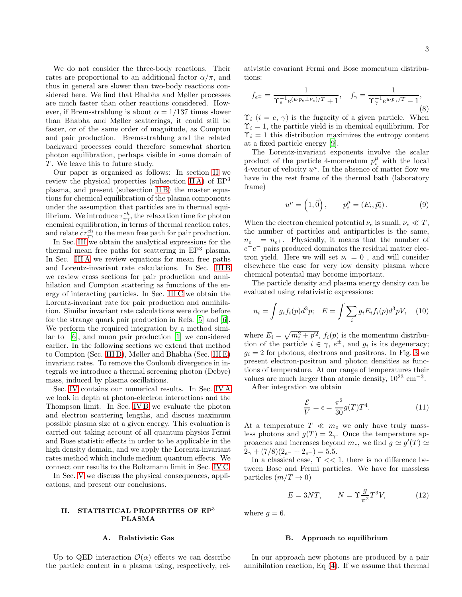We do not consider the three-body reactions. Their rates are proportional to an additional factor  $\alpha/\pi$ , and thus in general are slower than two-body reactions considered here. We find that Bhabha and Møller processes are much faster than other reactions considered. However, if Bremsstrahlung is about  $\alpha = 1/137$  times slower than Bhabha and Møller scatterings, it could still be faster, or of the same order of magnitude, as Compton and pair production. Bremsstrahlung and the related backward processes could therefore somewhat shorten

T. We leave this to future study. Our paper is organized as follows: In section [II](#page-2-1) we review the physical properties (subsection IIA) of  $EP<sup>3</sup>$ plasma, and present (subsection [II B\)](#page-2-3) the master equations for chemical equilibration of the plasma components under the assumption that particles are in thermal equilibrium. We introduce  $\tau_{\gamma\gamma}^{ch}$ , the relaxation time for photon chemical equilibration, in terms of thermal reaction rates, and relate  $c\tau_{\gamma\gamma}^{\text{ch}}$  to the mean free path for pair production.

photon equilibration, perhaps visible in some domain of

In Sec. [III](#page-4-0) we obtain the analytical expressions for the thermal mean free paths for scattering in  $EP<sup>3</sup>$  plasma. In Sec. [III A](#page-4-1) we review equations for mean free paths and Lorentz-invariant rate calculations. In Sec. [III B](#page-5-0) we review cross sections for pair production and annihilation and Compton scattering as functions of the energy of interacting particles. In Sec. [III C](#page-6-0) we obtain the Lorentz-invariant rate for pair production and annihilation. Similar invariant rate calculations were done before for the strange quark pair production in Refs. [\[5\]](#page-14-3) and [\[6](#page-14-4)]. We perform the required integration by a method similar to [\[6\]](#page-14-4), and muon pair production [\[1](#page-14-0)] we considered earlier. In the following sections we extend that method to Compton (Sec. [III D\)](#page-7-0), Møller and Bhabha (Sec. [III E\)](#page-9-0) invariant rates. To remove the Coulomb divergence in integrals we introduce a thermal screening photon (Debye) mass, induced by plasma oscillations.

Sec. [IV](#page-10-0) contains our numerical results. In Sec. [IV A](#page-10-1) we look in depth at photon-electron interactions and the Thompson limit. In Sec. [IV B](#page-10-2) we evaluate the photon and electron scattering lengths, and discuss maximum possible plasma size at a given energy. This evaluation is carried out taking account of all quantum physics Fermi and Bose statistic effects in order to be applicable in the high density domain, and we apply the Lorentz-invariant rates method which include medium quantum effects. We connect our results to the Boltzmann limit in Sec. [IV C.](#page-13-0)

In Sec. [V](#page-13-1) we discuss the physical consequences, applications, and present our conclusions.

## <span id="page-2-1"></span>II. STATISTICAL PROPERTIES OF EP<sup>3</sup> PLASMA

#### <span id="page-2-2"></span>A. Relativistic Gas

Up to QED interaction  $\mathcal{O}(\alpha)$  effects we can describe the particle content in a plasma using, respectively, rel-

ativistic covariant Fermi and Bose momentum distributions:

<span id="page-2-0"></span>
$$
f_{e^{\pm}} = \frac{1}{\Upsilon_e^{-1} e^{(u \cdot p_e \pm \nu_e)/T} + 1}, \quad f_{\gamma} = \frac{1}{\Upsilon_{\gamma}^{-1} e^{u \cdot p_{\gamma}/T} - 1},
$$
(8)

 $\Upsilon_i$  (i = e,  $\gamma$ ) is the fugacity of a given particle. When  $\Upsilon_i = 1$ , the particle yield is in chemical equilibrium. For  $\Upsilon_i = 1$  this distribution maximizes the entropy content at a fixed particle energy [\[9\]](#page-14-7).

The Lorentz-invariant exponents involve the scalar product of the particle 4-momentum  $p_i^{\mu}$  with the local 4-vector of velocity  $u^{\mu}$ . In the absence of matter flow we have in the rest frame of the thermal bath (laboratory frame)

$$
u^{\mu} = \left(1, \vec{0}\right), \qquad p_i^{\mu} = \left(E_i, \vec{p_i}\right). \tag{9}
$$

When the electron chemical potential  $\nu_e$  is small,  $\nu_e \ll T$ , the number of particles and antiparticles is the same,  $n_{e^-} = n_{e^+}$ . Physically, it means that the number of  $e^+e^-$  pairs produced dominates the residual matter electron yield. Here we will set  $\nu_e = 0$ , and will consider elsewhere the case for very low density plasma where chemical potential may become important.

The particle density and plasma energy density can be evaluated using relativistic expressions:

$$
n_i = \int g_i f_i(p) d^3 p; \quad E = \int \sum_i g_i E_i f_i(p) d^3 p V, \quad (10)
$$

where  $E_i = \sqrt{m_i^2 + \vec{p}^2}$ ,  $f_i(p)$  is the momentum distribution of the particle  $i \in \gamma$ ,  $e^{\pm}$ , and  $g_i$  is its degeneracy;  $g_i = 2$  for photons, electrons and positrons. In Fig. [3](#page-3-0) we present electron-positron and photon densities as functions of temperature. At our range of temperatures their values are much larger than atomic density,  $10^{23}$  cm<sup>-3</sup>.

After integration we obtain

<span id="page-2-4"></span>
$$
\frac{\mathcal{E}}{V} = \epsilon = \frac{\pi^2}{30} g(T) T^4.
$$
\n(11)

At a temperature  $T \ll m_e$  we only have truly massless photons and  $g(T) = 2<sub>\gamma</sub>$ . Once the temperature approaches and increases beyond  $m_e$ , we find  $g \simeq g'(T) \simeq$  $2_{\gamma} + (7/8)(2_{e^{-}} + 2_{e^{+}}) = 5.5.$ 

In a classical case,  $\Upsilon \ll 1$ , there is no difference between Bose and Fermi particles. We have for massless particles  $(m/T \rightarrow 0)$ 

<span id="page-2-5"></span>
$$
E = 3NT, \qquad N = \Upsilon \frac{g}{\pi^2} T^3 V, \tag{12}
$$

where  $q = 6$ .

#### <span id="page-2-3"></span>B. Approach to equilibrium

In our approach new photons are produced by a pair annihilation reaction, Eq [\(4\)](#page-1-0). If we assume that thermal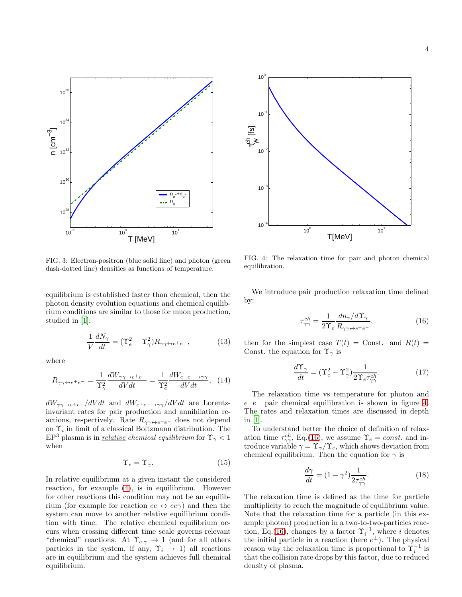

<span id="page-3-0"></span>FIG. 3: Electron-positron (blue solid line) and photon (green dash-dotted line) densities as functions of temperature.

equilibrium is established faster than chemical, then the photon density evolution equations and chemical equilibrium conditions are similar to those for muon production, studied in [\[1\]](#page-14-0):

$$
\frac{1}{V}\frac{dN_{\gamma}}{dt} = (\Upsilon_e^2 - \Upsilon_{\gamma}^2)R_{\gamma\gamma\leftrightarrow e^+e^-},\tag{13}
$$

where

<span id="page-3-3"></span>
$$
R_{\gamma\gamma\leftrightarrow e^{+}e^{-}} = \frac{1}{\Upsilon_{\gamma}^{2}} \frac{dW_{\gamma\gamma\rightarrow e^{+}e^{-}}}{dVdt} = \frac{1}{\Upsilon_{e}^{2}} \frac{dW_{e^{+}e^{-}\rightarrow\gamma\gamma}}{dVdt}, \quad (14)
$$

 $dW_{\gamma\gamma\rightarrow e^+e^-}/dVdt$  and  $dW_{e^+e^-\rightarrow\gamma\gamma}/dVdt$  are Lorentzinvariant rates for pair production and annihilation reactions, respectively. Rate  $R_{\gamma\gamma\leftrightarrow e^+e^-}$  does not depend on  $\Upsilon_i$  in limit of a classical Boltzmann distribution. The  $EP<sup>3</sup>$  plasma is in <u>relative</u> chemical equilibrium for  $\Upsilon_{\gamma}$  < 1 when

$$
\Upsilon_e = \Upsilon_\gamma. \tag{15}
$$

In relative equilibrium at a given instant the considered reaction, for example [\(4\)](#page-1-0), is in equilibrium. However for other reactions this condition may not be an equilibrium (for example for reaction  $ee \leftrightarrow ee\gamma$ ) and then the system can move to another relative equilibrium condition with time. The relative chemical equilibrium occurs when crossing different time scale governs relevant "chemical" reactions. At  $\Upsilon_{e,\gamma} \to 1$  (and for all others particles in the system, if any,  $\Upsilon_i \rightarrow 1$ ) all reactions are in equilibrium and the system achieves full chemical equilibrium.



<span id="page-3-1"></span>FIG. 4: The relaxation time for pair and photon chemical equilibration.

We introduce pair production relaxation time defined by:

<span id="page-3-2"></span>
$$
\tau_{\gamma\gamma}^{ch} = \frac{1}{2\Upsilon_e} \frac{dn_\gamma/d\Upsilon_\gamma}{R_{\gamma\gamma \leftrightarrow e^+e^-}},\tag{16}
$$

then for the simplest case  $T(t) =$ Const. and  $R(t) =$ Const. the equation for  $\Upsilon_{\gamma}$  is

$$
\frac{d\Upsilon_{\gamma}}{dt} = (\Upsilon_e^2 - \Upsilon_{\gamma}^2) \frac{1}{2\Upsilon_e \tau_{\gamma\gamma}^{ch}}.\tag{17}
$$

The relaxation time vs temperature for photon and  $e^+e^-$  pair chemical equilibration is shown in figure [4.](#page-3-1) The rates and relaxation times are discussed in depth in [\[1](#page-14-0)].

To understand better the choice of definition of relaxation time  $\tau_{\gamma\gamma}^{ch}$ , Eq.[\(16\)](#page-3-2), we assume  $\Upsilon_e = const.$  and introduce variable  $\gamma = \Upsilon_{\gamma}/\Upsilon_e$ , which shows deviation from chemical equilibrium. Then the equation for  $\gamma$  is

$$
\frac{d\gamma}{dt} = (1 - \gamma^2) \frac{1}{2\tau_{\gamma\gamma}^{ch}}.\tag{18}
$$

The relaxation time is defined as the time for particle multiplicity to reach the magnitude of equilibrium value. Note that the relaxation time for a particle (in this example photon) production in a two-to-two-particles reac-tion, Eq.[\(16\)](#page-3-2), changes by a factor  $\Upsilon_i^{-1}$ , where i denotes the initial particle in a reaction (here  $e^{\pm}$ ). The physical reason why the relaxation time is proportional to  $\check{\Upsilon}_i^{-1}$  is that the collision rate drops by this factor, due to reduced density of plasma.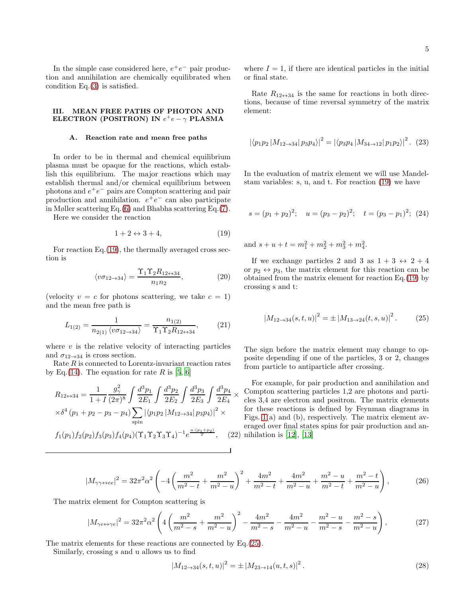In the simple case considered here,  $e^+e^-$  pair production and annihilation are chemically equilibrated when condition Eq.[\(3\)](#page-1-3) is satisfied.

## <span id="page-4-0"></span>III. MEAN FREE PATHS OF PHOTON AND ELECTRON (POSITRON) IN  $e^+e-\gamma$  PLASMA

#### <span id="page-4-1"></span>A. Reaction rate and mean free paths

In order to be in thermal and chemical equilibrium plasma must be opaque for the reactions, which establish this equilibrium. The major reactions which may establish thermal and/or chemical equilibrium between photons and  $e^+e^-$  pairs are Compton scattering and pair production and annihilation.  $e^+e^-$  can also participate in Møller scattering Eq.[\(6\)](#page-1-4) and Bhabha scattering Eq.[\(7\)](#page-1-5).

Here we consider the reaction

<span id="page-4-2"></span>
$$
1 + 2 \leftrightarrow 3 + 4,\tag{19}
$$

For reaction Eq.[\(19\)](#page-4-2), the thermally averaged cross section is

<span id="page-4-8"></span>
$$
\langle v\sigma_{12 \to 34} \rangle = \frac{\Upsilon_1 \Upsilon_2 R_{12 \to 34}}{n_1 n_2},\tag{20}
$$

(velocity  $v = c$  for photons scattering, we take  $c = 1$ ) and the mean free path is

<span id="page-4-5"></span>
$$
L_{1(2)} = \frac{1}{n_{2(1)} \langle v\sigma_{12 \to 34} \rangle} = \frac{n_{1(2)}}{\Upsilon_1 \Upsilon_2 R_{12 \to 34}},\tag{21}
$$

where  $v$  is the relative velocity of interacting particles and  $\sigma_{12\rightarrow 34}$  is cross section.

Rate  $R$  is connected to Lorentz-invariant reaction rates by Eq.[\(14\)](#page-3-3). The equation for rate R is [\[5,](#page-14-3) [6\]](#page-14-4)

<span id="page-4-9"></span>
$$
R_{12 \leftrightarrow 34} = \frac{1}{1+I} \frac{g_{\gamma}^2}{(2\pi)^8} \int \frac{d^3 p_1}{2E_1} \int \frac{d^3 p_2}{2E_2} \int \frac{d^3 p_3}{2E_3} \int \frac{d^3 p_4}{2E_4} \times
$$
  
 
$$
\times \delta^4 (p_1 + p_2 - p_3 - p_4) \sum_{\text{spin}} |\langle p_1 p_2 | M_{12 \to 34} | p_3 p_4 \rangle|^2 \times
$$
  
 
$$
f_1(p_1) f_2(p_2) f_3(p_3) f_4(p_4) (\Upsilon_1 \Upsilon_2 \Upsilon_3 \Upsilon_4)^{-1} e^{\frac{u \cdot (p_1 + p_2)}{T}}, \quad (22)
$$

where  $I = 1$ , if there are identical particles in the initial or final state.

Rate  $R_{12 \leftrightarrow 34}$  is the same for reactions in both directions, because of time reversal symmetry of the matrix element:

$$
|\langle p_1 p_2 | M_{12 \to 34} | p_3 p_4 \rangle|^2 = |\langle p_3 p_4 | M_{34 \to 12} | p_1 p_2 \rangle|^2. (23)
$$

In the evaluation of matrix element we will use Mandelstam variables: s, u, and t. For reaction [\(19\)](#page-4-2) we have

$$
s = (p_1 + p_2)^2
$$
;  $u = (p_3 - p_2)^2$ ;  $t = (p_3 - p_1)^2$ ; (24)

and  $s + u + t = m_1^2 + m_2^2 + m_3^2 + m_4^2$ .

If we exchange particles 2 and 3 as  $1+3 \leftrightarrow 2+4$ or  $p_2 \leftrightarrow p_3$ , the matrix element for this reaction can be obtained from the matrix element for reaction Eq.[\(19\)](#page-4-2) by crossing s and t:

<span id="page-4-3"></span>
$$
|M_{12 \to 34}(s, t, u)|^2 = \pm |M_{13 \to 24}(t, s, u)|^2. \tag{25}
$$

The sign before the matrix element may change to opposite depending if one of the particles, 3 or 2, changes from particle to antiparticle after crossing.

 $\overline{T}$ , (22) nihilation is [\[12](#page-14-8)], [\[13\]](#page-14-9) For example, for pair production and annihilation and Compton scattering particles 1,2 are photons and particles 3,4 are electron and positron. The matrix elements for these reactions is defined by Feynman diagrams in Figs. [1\(](#page-1-1)a) and (b), respectively. The matrix element averaged over final states spins for pair production and an-

<span id="page-4-6"></span>
$$
|M_{\gamma\gamma\leftrightarrow ee}|^2 = 32\pi^2\alpha^2 \left( -4\left(\frac{m^2}{m^2 - t} + \frac{m^2}{m^2 - u}\right)^2 + \frac{4m^2}{m^2 - t} + \frac{4m^2}{m^2 - u} + \frac{m^2 - u}{m^2 - t} + \frac{m^2 - t}{m^2 - u} \right),\tag{26}
$$

The matrix element for Compton scattering is

<span id="page-4-7"></span>
$$
|M_{\gamma e \leftrightarrow \gamma e}|^2 = 32\pi^2 \alpha^2 \left( 4\left(\frac{m^2}{m^2 - s} + \frac{m^2}{m^2 - u}\right)^2 - \frac{4m^2}{m^2 - s} - \frac{4m^2}{m^2 - u} - \frac{m^2 - u}{m^2 - s} - \frac{m^2 - s}{m^2 - u} \right),\tag{27}
$$

The matrix elements for these reactions are connected by Eq.[\(25\)](#page-4-3).

Similarly, crossing s and u allows us to find

<span id="page-4-4"></span>
$$
|M_{12 \to 34}(s,t,u)|^2 = \pm |M_{23 \to 14}(u,t,s)|^2.
$$
 (28)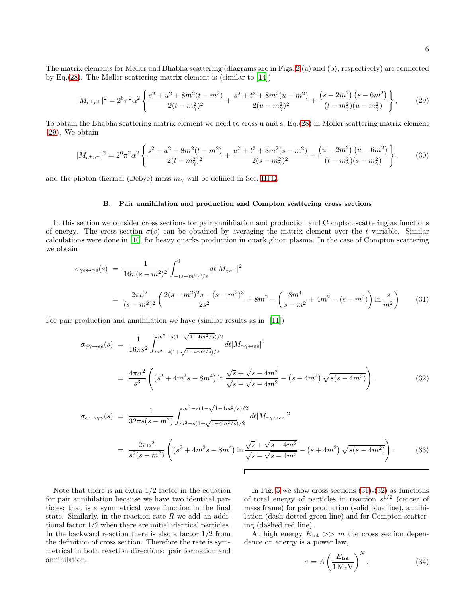The matrix elements for Møller and Bhabha scattering (diagrams are in Figs. [2](#page-1-2) (a) and (b), respectively) are connected by Eq.[\(28\)](#page-4-4). The Møller scattering matrix element is (similar to [\[14\]](#page-14-10))

<span id="page-5-1"></span>
$$
|M_{e^{\pm}e^{\pm}}|^{2} = 2^{6}\pi^{2}\alpha^{2}\left\{\frac{s^{2}+u^{2}+8m^{2}(t-m^{2})}{2(t-m^{2}_{\gamma})^{2}}+\frac{s^{2}+t^{2}+8m^{2}(u-m^{2})}{2(u-m^{2}_{\gamma})^{2}}+\frac{(s-2m^{2})\left(s-6m^{2}\right)}{(t-m^{2}_{\gamma})(u-m^{2}_{\gamma})}\right\},\tag{29}
$$

To obtain the Bhabha scattering matrix element we need to cross u and s, Eq.[\(28\)](#page-4-4) in Møller scattering matrix element [\(29\)](#page-5-1). We obtain

<span id="page-5-5"></span>
$$
|M_{e^{+}e^{-}}|^{2} = 2^{6}\pi^{2}\alpha^{2}\left\{\frac{s^{2}+u^{2}+8m^{2}(t-m^{2})}{2(t-m_{\gamma}^{2})^{2}}+\frac{u^{2}+t^{2}+8m^{2}(s-m^{2})}{2(s-m_{\gamma}^{2})^{2}}+\frac{(u-2m^{2})\left(u-6m^{2}\right)}{(t-m_{\gamma}^{2})(s-m_{\gamma}^{2})}\right\},\tag{30}
$$

and the photon thermal (Debye) mass  $m_{\gamma}$  will be defined in Sec. [III E.](#page-9-0)

### <span id="page-5-0"></span>B. Pair annihilation and production and Compton scattering cross sections

In this section we consider cross sections for pair annihilation and production and Compton scattering as functions of energy. The cross section  $\sigma(s)$  can be obtained by averaging the matrix element over the t variable. Similar calculations were done in [\[10\]](#page-14-11) for heavy quarks production in quark gluon plasma. In the case of Compton scattering we obtain

<span id="page-5-2"></span>
$$
\sigma_{\gamma e \leftrightarrow \gamma e}(s) = \frac{1}{16\pi (s - m^2)^2} \int_{-(s-m^2)^2/s}^{0} dt |M_{\gamma e^{\pm}}|^2
$$
  
= 
$$
\frac{2\pi \alpha^2}{(s - m^2)^2} \left( \frac{2(s - m^2)^2 s - (s - m^2)^3}{2s^2} + 8m^2 - \left( \frac{8m^4}{s - m^2} + 4m^2 - (s - m^2) \right) \ln \frac{s}{m^2} \right)
$$
(31)

For pair production and annihilation we have (similar results as in [\[11](#page-14-12)])

<span id="page-5-3"></span>
$$
\sigma_{\gamma\gamma \to ee}(s) = \frac{1}{16\pi s^2} \int_{m^2 - s(1 - \sqrt{1 - 4m^2/s})/2}^{m^2 - s(1 - \sqrt{1 - 4m^2/s})/2} dt |M_{\gamma\gamma \leftrightarrow ee}|^2
$$
  
\n
$$
= \frac{4\pi \alpha^2}{s^3} \left( \left( s^2 + 4m^2 s - 8m^4 \right) \ln \frac{\sqrt{s} + \sqrt{s - 4m^2}}{\sqrt{s} - \sqrt{s - 4m^2}} - \left( s + 4m^2 \right) \sqrt{s(s - 4m^2)} \right).
$$
\n
$$
\sigma_{ee \to \gamma\gamma}(s) = \frac{1}{32\pi s(s - m^2)} \int_{m^2 - s(1 - \sqrt{1 - 4m^2/s})/2}^{m^2 - s(1 - \sqrt{1 - 4m^2/s})/2} dt |M_{\gamma\gamma \leftrightarrow ee}|^2
$$
\n(32)

$$
= \frac{2\pi\alpha^2}{s^2(s-m^2)} \left( \left(s^2 + 4m^2s - 8m^4\right) \ln \frac{\sqrt{s} + \sqrt{s - 4m^2}}{\sqrt{s} - \sqrt{s - 4m^2}} - \left(s + 4m^2\right) \sqrt{s(s - 4m^2)} \right). \tag{33}
$$

Note that there is an extra  $1/2$  factor in the equation for pair annihilation because we have two identical particles; that is a symmetrical wave function in the final state. Similarly, in the reaction rate  $R$  we add an additional factor 1/2 when there are initial identical particles. In the backward reaction there is also a factor  $1/2$  from the definition of cross section. Therefore the rate is symmetrical in both reaction directions: pair formation and annihilation.

In Fig. [5](#page-6-1) we show cross sections  $(31)-(32)$  $(31)-(32)$  as functions of total energy of particles in reaction  $s^{1/2}$  (center of mass frame) for pair production (solid blue line), annihilation (dash-dotted green line) and for Compton scattering (dashed red line).

At high energy  $E_{\text{tot}} >> m$  the cross section dependence on energy is a power law,

<span id="page-5-4"></span>
$$
\sigma = A \left(\frac{E_{\text{tot}}}{1 \text{ MeV}}\right)^N.
$$
 (34)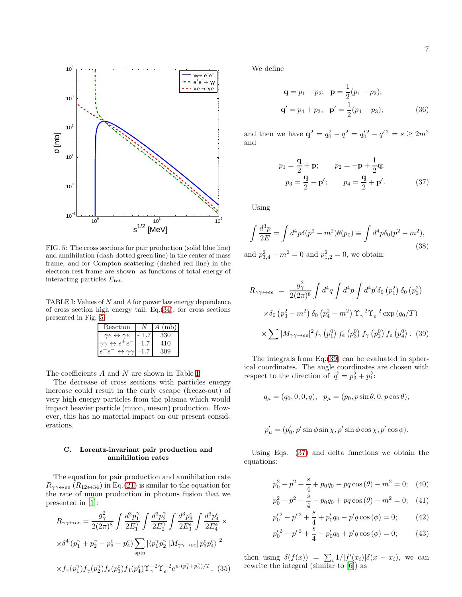

<span id="page-6-1"></span>FIG. 5: The cross sections for pair production (solid blue line) and annihilation (dash-dotted green line) in the center of mass frame, and for Compton scattering (dashed red line) in the electron rest frame are shown as functions of total energy of interacting particles  $E_{\text{tot}}$ .

TABLE I: Values of N and A for power law energy dependence of cross section high energy tail, Eq.[\(34\)](#page-5-4), for cross sections presented in Fig. [5](#page-6-1)

<span id="page-6-2"></span>

| Reaction                              | (mb)<br>$A^{\prime}$ |
|---------------------------------------|----------------------|
| $\gamma e \leftrightarrow \gamma e$   | 330                  |
| $\gamma\gamma \leftrightarrow e^+e^-$ | 410                  |
| $\leftrightarrow \gamma \gamma$       | ΩO                   |

The coefficients A and N are shown in Table [I.](#page-6-2)

The decrease of cross sections with particles energy increase could result in the early escape (freeze-out) of very high energy particles from the plasma which would impact heavier particle (muon, meson) production. However, this has no material impact on our present considerations.

#### <span id="page-6-0"></span>C. Lorentz-invariant pair production and annihilation rates

The equation for pair production and annihilation rate  $R_{\gamma\gamma\leftrightarrow ee}$   $(R_{12\leftrightarrow 34})$  in Eq.[\(21\)](#page-4-5) is similar to the equation for the rate of muon production in photons fusion that we presented in [\[1\]](#page-14-0):

<span id="page-6-5"></span>
$$
R_{\gamma\gamma\leftrightarrow ee} = \frac{g_{\gamma}^{2}}{2(2\pi)^{8}} \int \frac{d^{3}p_{1}^{\gamma}}{2E_{1}^{\gamma}} \int \frac{d^{3}p_{2}^{\gamma}}{2E_{2}^{\gamma}} \int \frac{d^{3}p_{3}^{\epsilon}}{2E_{3}^{\epsilon}} \int \frac{d^{3}p_{4}^{\epsilon}}{2E_{4}^{\epsilon}} \times
$$
  
 
$$
\times \delta^{4} (p_{1}^{\gamma} + p_{2}^{\gamma} - p_{3}^{\epsilon} - p_{4}^{\epsilon}) \sum_{\text{spin}} |\langle p_{1}^{\gamma}p_{2}^{\gamma}| M_{\gamma\gamma \to ee} | p_{3}^{\epsilon}p_{4}^{\epsilon} \rangle|^{2}
$$
  
 
$$
\times f_{\gamma}(p_{1}^{\gamma}) f_{\gamma}(p_{2}^{\gamma}) f_{e}(p_{3}^{\epsilon}) f_{4}(p_{4}^{\epsilon}) \Upsilon_{\gamma}^{-2} \Upsilon_{e}^{-2} e^{u \cdot (p_{1}^{\gamma} + p_{2}^{\gamma})/T}, \quad (35)
$$

We define

<span id="page-6-6"></span>
$$
\mathbf{q} = p_1 + p_2; \quad \mathbf{p} = \frac{1}{2}(p_1 - p_2); \n\mathbf{q}' = p_4 + p_3; \quad \mathbf{p}' = \frac{1}{2}(p_4 - p_3);
$$
\n(36)

and then we have  $\mathbf{q}^2 = q_0^2 - q^2 = q_0'^2 - q'^2 = s \ge 2m^2$ and

<span id="page-6-4"></span>
$$
p_1 = \frac{\mathbf{q}}{2} + \mathbf{p}; \qquad p_2 = -\mathbf{p} + \frac{1}{2}\mathbf{q};
$$
  

$$
p_3 = \frac{\mathbf{q}}{2} - \mathbf{p}'; \qquad p_4 = \frac{\mathbf{q}}{2} + \mathbf{p}'; \qquad (37)
$$

Using

$$
\int \frac{d^3 p}{2E} = \int d^4 p \delta(p^2 - m^2) \theta(p_0) \equiv \int d^4 p \delta_0 (p^2 - m^2),
$$
\n(38)

and  $p_{3,4}^2 - m^2 = 0$  and  $p_{1,2}^2 = 0$ , we obtain:

<span id="page-6-3"></span>
$$
R_{\gamma\gamma\leftrightarrow ee} = \frac{g_{\gamma}^{2}}{2(2\pi)^{8}} \int d^{4}q \int d^{4}p \int d^{4}p' \delta_{0} (p_{1}^{2}) \delta_{0} (p_{2}^{2})
$$

$$
\times \delta_{0} (p_{3}^{2} - m^{2}) \delta_{0} (p_{4}^{2} - m^{2}) \Upsilon_{\gamma}^{-2} \Upsilon_{e}^{-2} \exp(q_{0}/T)
$$

$$
\times \sum |M_{\gamma\gamma\rightarrow ee}|^{2} f_{\gamma} (p_{1}^{0}) f_{e} (p_{3}^{0}) f_{\gamma} (p_{2}^{0}) f_{e} (p_{4}^{0}) . (39)
$$

The integrals from Eq.[\(39\)](#page-6-3) can be evaluated in spherical coordinates. The angle coordinates are chosen with respect to the direction of  $\vec{q} = \vec{p}_3 + \vec{p}_1$ :

$$
q_{\mu} = (q_0, 0, 0, q), \quad p_{\mu} = (p_0, p \sin \theta, 0, p \cos \theta),
$$

$$
p'_{\mu} = (p'_{0}, p' \sin \phi \sin \chi, p' \sin \phi \cos \chi, p' \cos \phi).
$$

Using Eqs. [\(37\)](#page-6-4) and delta functions we obtain the equations:

$$
p_0^2 - p^2 + \frac{s}{4} + p_0 q_0 - pq \cos(\theta) - m^2 = 0; \quad (40)
$$

$$
p_0^2 - p^2 + \frac{s}{4} - p_0 q_0 + pq \cos(\theta) - m^2 = 0; \quad (41)
$$

$$
p_0'^2 - p'^2 + \frac{s}{4} + p_0'q_0 - p'q\cos(\phi) = 0; \qquad (42)
$$

$$
p_0'^2 - p'^2 + \frac{s}{4} - p_0'q_0 + p'q\cos(\phi) = 0; \qquad (43)
$$

then using  $\delta(f(x)) = \sum_i 1/|f'(x_i)|\delta(x - x_i)$ , we can rewrite the integral (similar to [\[6\]](#page-14-4)) as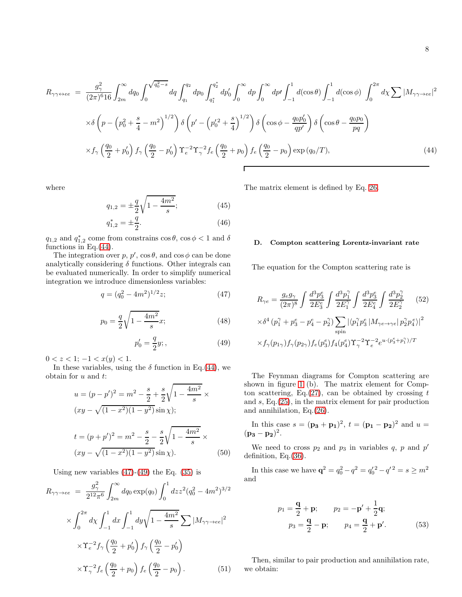<span id="page-7-1"></span>
$$
R_{\gamma\gamma\leftrightarrow ee} = \frac{g_{\gamma}^{2}}{(2\pi)^{6}16} \int_{2m}^{\infty} dq_{0} \int_{0}^{\sqrt{q_{0}^{2}-s}} dq \int_{q_{1}}^{q_{2}} dp_{0} \int_{q_{1}^{*}}^{q_{2}^{*}} dp_{0}' \int_{0}^{\infty} dp \int_{0}^{\infty} dp' \int_{-1}^{1} d(\cos\theta) \int_{-1}^{1} d(\cos\phi) \int_{0}^{2\pi} d\chi \sum |M_{\gamma\gamma\rightarrow ee}|^{2}
$$

$$
\times \delta \left(p - \left(p_{0}^{2} + \frac{s}{4} - m^{2}\right)^{1/2}\right) \delta \left(p' - \left(p_{0}^{'2} + \frac{s}{4}\right)^{1/2}\right) \delta \left(\cos\phi - \frac{q_{0}p_{0}'}{qp'}\right) \delta \left(\cos\theta - \frac{q_{0}p_{0}}{pq}\right)
$$

$$
\times f_{\gamma} \left(\frac{q_{0}}{2} + p_{0}'\right) f_{\gamma} \left(\frac{q_{0}}{2} - p_{0}'\right) \Upsilon_{e}^{-2} \Upsilon_{\gamma}^{-2} f_{e} \left(\frac{q_{0}}{2} + p_{0}\right) f_{e} \left(\frac{q_{0}}{2} - p_{0}\right) \exp(q_{0}/T), \tag{44}
$$

where

$$
q_{1,2} = \pm \frac{q}{2} \sqrt{1 - \frac{4m^2}{s}};
$$
 (45)

$$
q_{1,2}^* = \pm \frac{q}{2}.\tag{46}
$$

 $q_{1,2}$  and  $q_{1,2}^*$  come from constrains  $\cos \theta$ ,  $\cos \phi < 1$  and  $\delta$ functions in Eq.[\(44\)](#page-7-1).

The integration over p, p',  $\cos \theta$ , and  $\cos \phi$  can be done analytically considering  $\delta$  functions. Other integrals can be evaluated numerically. In order to simplify numerical integration we introduce dimensionless variables:

<span id="page-7-2"></span>
$$
q = (q_0^2 - 4m^2)^{1/2} z; \tag{47}
$$

$$
p_0 = \frac{q}{2}\sqrt{1 - \frac{4m^2}{s}}x;\t\t(48)
$$

$$
p'_0 = \frac{q}{2}y; \qquad (49)
$$

 $0 < z < 1; -1 < x(y) < 1.$ 

In these variables, using the  $\delta$  function in Eq.[\(44\)](#page-7-1), we obtain for u and t:

<span id="page-7-4"></span>
$$
u = (p - p')^{2} = m^{2} - \frac{s}{2} + \frac{s}{2}\sqrt{1 - \frac{4m^{2}}{s}} \times
$$
  
\n
$$
(xy - \sqrt{(1 - x^{2})(1 - y^{2})}\sin \chi);
$$
  
\n
$$
t = (p + p')^{2} = m^{2} - \frac{s}{2} - \frac{s}{2}\sqrt{1 - \frac{4m^{2}}{s}} \times
$$
  
\n
$$
(xy - \sqrt{(1 - x^{2})(1 - y^{2})}\sin \chi).
$$
 (50)

Using new variables  $(47)-(49)$  $(47)-(49)$  the Eq.  $(35)$  is

<span id="page-7-6"></span>
$$
R_{\gamma\gamma \to ee} = \frac{g_{\gamma}^{2}}{2^{12}\pi^{6}} \int_{2m}^{\infty} dq_{0} \exp(q_{0}) \int_{0}^{1} dz z^{2} (q_{0}^{2} - 4m^{2})^{3/2}
$$

$$
\times \int_{0}^{2\pi} d\chi \int_{-1}^{1} dx \int_{-1}^{1} dy \sqrt{1 - \frac{4m^{2}}{s}} \sum |M_{\gamma\gamma \to ee}|^{2}
$$

$$
\times \Upsilon_{e}^{-2} f_{\gamma} \left(\frac{q_{0}}{2} + p_{0}'\right) f_{\gamma} \left(\frac{q_{0}}{2} - p_{0}'\right)
$$

$$
\times \Upsilon_{\gamma}^{-2} f_{e} \left(\frac{q_{0}}{2} + p_{0}\right) f_{e} \left(\frac{q_{0}}{2} - p_{0}\right).
$$
(51)

The matrix element is defined by Eq. [26.](#page-4-6)

#### <span id="page-7-0"></span>D. Compton scattering Lorentz-invariant rate

The equation for the Compton scattering rate is

<span id="page-7-5"></span>
$$
R_{\gamma e} = \frac{g_e g_{\gamma}}{(2\pi)^8} \int \frac{d^3 p_3^e}{2E_3^e} \int \frac{d^3 p_1^{\gamma}}{2E_1^{\gamma}} \int \frac{d^3 p_2^e}{2E_4^e} \int \frac{d^3 p_2^{\gamma}}{2E_2^{\gamma}} \qquad (52)
$$
  
 
$$
\times \delta^4 (p_1^{\gamma} + p_3^e - p_4^e - p_2^{\gamma}) \sum_{\text{spin}} |\langle p_1^{\gamma} p_3^e | M_{\gamma e \to \gamma e} | p_2^{\gamma} p_4^e \rangle|^2
$$
  
 
$$
\times f_{\gamma}(p_{1\gamma}) f_{\gamma}(p_{2\gamma}) f_e(p_3^e) f_4(p_4^e) \Upsilon_{\gamma}^{-2} \Upsilon_{e}^{-2} e^{u \cdot (p_3^e + p_1^{\gamma})/T}
$$

The Feynman diagrams for Compton scattering are shown in figure [1](#page-1-1) (b). The matrix element for Comp-ton scattering, Eq.[\(27\)](#page-4-7), can be obtained by crossing  $t$ and s, Eq.[\(25\)](#page-4-3), in the matrix element for pair production and annihilation, Eq.[\(26\)](#page-4-6).

In this case  $s = (\mathbf{p_3} + \mathbf{p_1})^2$ ,  $t = (\mathbf{p_1} - \mathbf{p_2})^2$  and  $u =$  $({\bf p_3}-{\bf p_2})^2.$ 

We need to cross  $p_2$  and  $p_3$  in variables q, p and p' definition, Eq.[\(36\)](#page-6-6).

In this case we have  $\mathbf{q}^2 = q_0^2 - q^2 = q_0'^2 - q'^2 = s \ge m^2$ and

<span id="page-7-3"></span>
$$
p_1 = \frac{q}{2} + \mathbf{p}; \t p_2 = -\mathbf{p}' + \frac{1}{2}\mathbf{q};
$$
  

$$
p_3 = \frac{q}{2} - \mathbf{p}; \t p_4 = \frac{q}{2} + \mathbf{p}'. \t (53)
$$

Then, similar to pair production and annihilation rate, we obtain: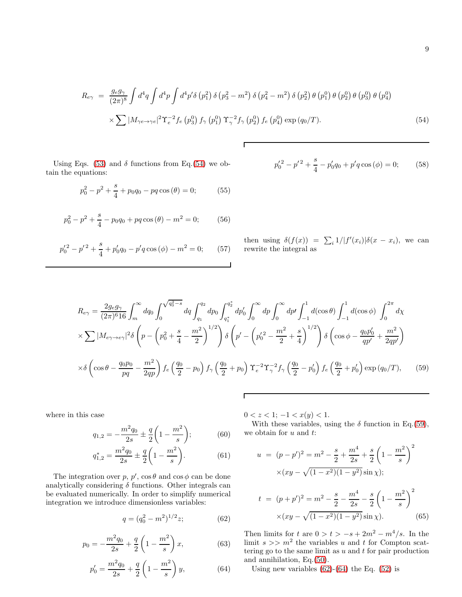<span id="page-8-0"></span>
$$
R_{e\gamma} = \frac{g_e g_\gamma}{(2\pi)^8} \int d^4q \int d^4p \int d^4p' \delta(p_1^2) \delta(p_3^2 - m^2) \delta(p_4^2 - m^2) \delta(p_2^2) \theta(p_1^0) \theta(p_2^0) \theta(p_3^0) \theta(p_4^0)
$$
  
 
$$
\times \sum |M_{\gamma e \to \gamma e}|^2 \Upsilon_e^{-2} f_e(p_3^0) f_\gamma(p_1^0) \Upsilon_\gamma^{-2} f_\gamma(p_2^0) f_e(p_4^0) \exp(q_0/T). \tag{54}
$$

Г

Using Eqs. [\(53\)](#page-7-3) and  $\delta$  functions from Eq.[\(54\)](#page-8-0) we obtain the equations:

$$
p_0^2 - p^2 + \frac{s}{4} + p_0 q_0 - pq \cos(\theta) = 0; \tag{55}
$$

$$
p_0^2 - p^2 + \frac{s}{4} - p_0 q_0 + pq \cos(\theta) - m^2 = 0; \qquad (56)
$$

$$
p_0'^2 - p'^2 + \frac{s}{4} + p_0'q_0 - p'q\cos(\phi) - m^2 = 0; \qquad (57)
$$

$$
p_0'^2 - p'^2 + \frac{s}{4} - p_0'q_0 + p'q\cos(\phi) = 0; \qquad (58)
$$

then using  $\delta(f(x)) = \sum_i 1/|f'(x_i)| \delta(x - x_i)$ , we can rewrite the integral as

<span id="page-8-1"></span>
$$
R_{e\gamma} = \frac{2g_e g_\gamma}{(2\pi)^6 16} \int_m^\infty dq_0 \int_0^{\sqrt{q_0^2 - s}} dq \int_{q_1}^{q_2} dp_0 \int_{q_1^*}^{q_2^*} dp'_0 \int_0^\infty dp \int_0^\infty dp' \int_{-1}^1 d(\cos\theta) \int_{-1}^1 d(\cos\phi) \int_0^{2\pi} d\chi
$$
  
 
$$
\times \sum |M_{e\gamma \to e\gamma}|^2 \delta \left( p - \left( p_0^2 + \frac{s}{4} - \frac{m^2}{2} \right)^{1/2} \right) \delta \left( p' - \left( p_0'^2 - \frac{m^2}{2} + \frac{s}{4} \right)^{1/2} \right) \delta \left( \cos\phi - \frac{q_0 p'_0}{qp'} + \frac{m^2}{2qp'} \right)
$$
  
 
$$
\times \delta \left( \cos\theta - \frac{q_0 p_0}{pq} - \frac{m^2}{2qp} \right) f_e \left( \frac{q_0}{2} - p_0 \right) f_\gamma \left( \frac{q_0}{2} + p_0 \right) \Upsilon_e^{-2} \Upsilon_\gamma^{-2} f_\gamma \left( \frac{q_0}{2} - p'_0 \right) f_e \left( \frac{q_0}{2} + p'_0 \right) \exp(q_0/T), \qquad (59)
$$

Г

where in this case

$$
q_{1,2} = -\frac{m^2 q_0}{2s} \pm \frac{q}{2} \left( 1 - \frac{m^2}{s} \right); \tag{60}
$$

$$
q_{1,2}^* = \frac{m^2 q_0}{2s} \pm \frac{q}{2} \left( 1 - \frac{m^2}{s} \right). \tag{61}
$$

The integration over p, p',  $\cos \theta$  and  $\cos \phi$  can be done analytically considering  $\delta$  functions. Other integrals can be evaluated numerically. In order to simplify numerical integration we introduce dimensionless variables:

<span id="page-8-2"></span>
$$
q = (q_0^2 - m^2)^{1/2} z; \tag{62}
$$

$$
p_0 = -\frac{m^2 q_0}{2s} + \frac{q}{2} \left( 1 - \frac{m^2}{s} \right) x,\tag{63}
$$

$$
p_0' = \frac{m^2 q_0}{2s} + \frac{q}{2} \left( 1 - \frac{m^2}{s} \right) y,\tag{64}
$$

 $0 < z < 1; -1 < x(y) < 1.$ 

With these variables, using the  $\delta$  function in Eq.[\(59\)](#page-8-1), we obtain for  $u$  and  $t$ :

$$
u = (p - p')^{2} = m^{2} - \frac{s}{2} + \frac{m^{4}}{2s} + \frac{s}{2} \left( 1 - \frac{m^{2}}{s} \right)^{2}
$$

$$
\times (xy - \sqrt{(1 - x^{2})(1 - y^{2})} \sin \chi);
$$

$$
t = (p + p')^{2} = m^{2} - \frac{s}{2} - \frac{m^{4}}{2s} - \frac{s}{2} \left( 1 - \frac{m^{2}}{s} \right)^{2}
$$

$$
\times (xy - \sqrt{(1 - x^{2})(1 - y^{2})} \sin \chi).
$$
(65)

Then limits for t are  $0 > t > -s + 2m^2 - m^4/s$ . In the limit  $s \gg m^2$  the variables u and t for Compton scattering go to the same limit as  $u$  and  $t$  for pair production and annihilation, Eq.[\(50\)](#page-7-4).

Using new variables  $(62)-(64)$  $(62)-(64)$  the Eq.  $(52)$  is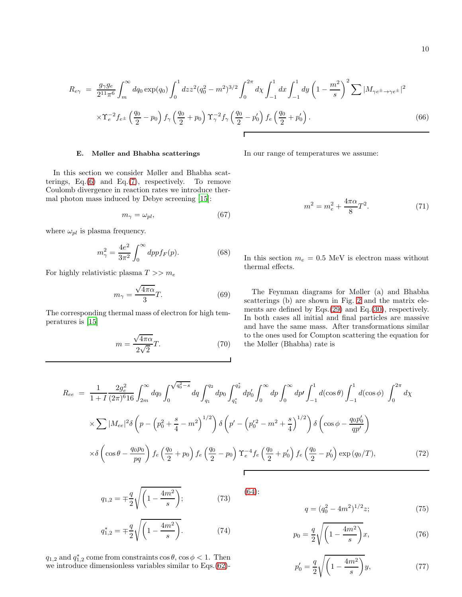<span id="page-9-3"></span>
$$
R_{e\gamma} = \frac{g_{\gamma}g_e}{2^{11}\pi^6} \int_m^{\infty} dq_0 \exp(q_0) \int_0^1 dz z^2 (q_0^2 - m^2)^{3/2} \int_0^{2\pi} d\chi \int_{-1}^1 dx \int_{-1}^1 dy \left(1 - \frac{m^2}{s}\right)^2 \sum |M_{\gamma e^{\pm} \to \gamma e^{\pm}}|^2
$$
  
 
$$
\times \Upsilon_e^{-2} f_{e^{\pm}} \left(\frac{q_0}{2} - p_0\right) f_{\gamma} \left(\frac{q_0}{2} + p_0\right) \Upsilon_{\gamma}^{-2} f_{\gamma} \left(\frac{q_0}{2} - p_0'\right) f_e \left(\frac{q_0}{2} + p_0'\right).
$$
 (66)

## <span id="page-9-0"></span>E. Møller and Bhabha scatterings

In this section we consider Møller and Bhabha scatterings,  $Eq.(6)$  $Eq.(6)$  and  $Eq.(7)$  $Eq.(7)$ , respectively. To remove Coulomb divergence in reaction rates we introduce thermal photon mass induced by Debye screening [\[15](#page-14-13)]:

$$
m_{\gamma} = \omega_{pl},\tag{67}
$$

where  $\omega_{pl}$  is plasma frequency.

$$
m_{\gamma}^2 = \frac{4e^2}{3\pi^2} \int_0^{\infty} dp p f_F(p). \tag{68}
$$

For highly relativistic plasma  $T >> m_e$ 

$$
m_{\gamma} = \frac{\sqrt{4\pi\alpha}}{3}T.
$$
 (69)

The corresponding thermal mass of electron for high temperatures is [\[15\]](#page-14-13)

$$
m = \frac{\sqrt{4\pi\alpha}}{2\sqrt{2}}T.
$$
 (70)

In our range of temperatures we assume:

$$
m^2 = m_e^2 + \frac{4\pi\alpha}{8}T^2.
$$
 (71)

In this section  $m_e = 0.5$  MeV is electron mass without thermal effects.

The Feynman diagrams for Møller (a) and Bhabha scatterings (b) are shown in Fig. [2](#page-1-2) and the matrix elements are defined by Eqs.[\(29\)](#page-5-1) and Eq.[\(30\)](#page-5-5), respectively. In both cases all initial and final particles are massive and have the same mass. After transformations similar to the ones used for Compton scattering the equation for the Møller (Bhabha) rate is

<span id="page-9-2"></span>
$$
R_{ee} = \frac{1}{1+I} \frac{2g_e^2}{(2\pi)^6 16} \int_{2m}^{\infty} dq_0 \int_0^{\sqrt{q_0^2 - s}} dq \int_{q_1}^{q_2} dp_0 \int_{q_1^*}^{q_2^*} dp'_0 \int_0^{\infty} dp \int_0^{\infty} dp' \int_{-1}^1 d(\cos\theta) \int_{-1}^1 d(\cos\phi) \int_0^{2\pi} d\chi
$$
  
 
$$
\times \sum |M_{ee}|^2 \delta \left( p - \left( p_0^2 + \frac{s}{4} - m^2 \right)^{1/2} \right) \delta \left( p' - \left( p_0'^2 - m^2 + \frac{s}{4} \right)^{1/2} \right) \delta \left( \cos\phi - \frac{q_0 p'_0}{qp'} \right)
$$
  
 
$$
\times \delta \left( \cos\theta - \frac{q_0 p_0}{pq} \right) f_e \left( \frac{q_0}{2} + p_0 \right) f_e \left( \frac{q_0}{2} - p_0 \right) \Upsilon_e^{-4} f_e \left( \frac{q_0}{2} + p'_0 \right) f_e \left( \frac{q_0}{2} - p'_0 \right) \exp(q_0/T), \tag{72}
$$

$$
q_{1,2} = \pm \frac{q}{2} \sqrt{\left(1 - \frac{4m^2}{s}\right)}; \tag{73}
$$

$$
q_{1,2}^* = \pm \frac{q}{2} \sqrt{\left(1 - \frac{4m^2}{s}\right)}.
$$
 (74)

 $q_{1,2}$  and  $q_{1,2}^*$  come from constraints  $\cos \theta$ ,  $\cos \phi < 1$ . Then we introduce dimensionless variables similar to Eqs.[\(62\)](#page-8-2)-

<span id="page-9-1"></span>
$$
q = (q_0^2 - 4m^2)^{1/2} z; \t\t(75)
$$

$$
p_0 = \frac{q}{2} \sqrt{\left(1 - \frac{4m^2}{s}\right)} x,\tag{76}
$$

$$
p_0' = \frac{q}{2} \sqrt{\left(1 - \frac{4m^2}{s}\right)} y,\tag{77}
$$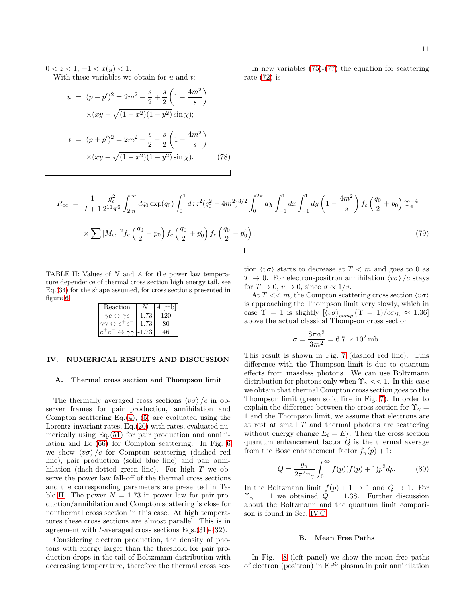$0 < z < 1$ ;  $-1 < x(y) < 1$ .

With these variables we obtain for  $u$  and  $t$ :

$$
u = (p - p')^{2} = 2m^{2} - \frac{s}{2} + \frac{s}{2} \left( 1 - \frac{4m^{2}}{s} \right)
$$

$$
\times (xy - \sqrt{(1 - x^{2})(1 - y^{2})} \sin \chi);
$$

$$
t = (p + p')^{2} = 2m^{2} - \frac{s}{2} - \frac{s}{2} \left( 1 - \frac{4m^{2}}{s} \right)
$$

$$
\times (xy - \sqrt{(1 - x^{2})(1 - y^{2})} \sin \chi).
$$
(78)

In new variables [\(75\)](#page-9-1)-[\(77\)](#page-9-1) the equation for scattering rate [\(72\)](#page-9-2) is

<span id="page-10-4"></span>
$$
R_{ee} = \frac{1}{I+1} \frac{g_e^2}{2^{11}\pi^6} \int_{2m}^{\infty} dq_0 \exp(q_0) \int_0^1 dz z^2 (q_0^2 - 4m^2)^{3/2} \int_0^{2\pi} d\chi \int_{-1}^1 dx \int_{-1}^1 dy \left(1 - \frac{4m^2}{s}\right) f_e \left(\frac{q_0}{2} + p_0\right) \Upsilon_e^{-4}
$$
  
 
$$
\times \sum |M_{ee}|^2 f_e \left(\frac{q_0}{2} - p_0\right) f_e \left(\frac{q_0}{2} + p'_0\right) f_e \left(\frac{q_0}{2} - p'_0\right).
$$
 (79)

TABLE II: Values of N and A for the power law temperature dependence of thermal cross section high energy tail, see Eq.[\(34\)](#page-5-4) for the shape assumed, for cross sections presented in figure [6.](#page-11-0)

<span id="page-10-3"></span>

| Reaction                              |         | $A$ lmb |
|---------------------------------------|---------|---------|
| $\gamma e \leftrightarrow \gamma e$   | $-1.73$ | 120     |
| $\gamma\gamma \leftrightarrow e^+e^-$ | $-1.73$ | 80      |
| $\leftrightarrow \gamma\gamma$        | $-1.73$ | 46      |

### <span id="page-10-0"></span>IV. NUMERICAL RESULTS AND DISCUSSION

#### <span id="page-10-1"></span>A. Thermal cross section and Thompson limit

The thermally averaged cross sections  $\langle v\sigma \rangle /c$  in observer frames for pair production, annihilation and Compton scattering Eq. $(4)$ ,  $(5)$  are evaluated using the Lorentz-invariant rates, Eq.[\(20\)](#page-4-8) with rates, evaluated numerically using Eq.[\(51\)](#page-7-6) for pair production and annihilation and Eq.[\(66\)](#page-9-3) for Compton scattering. In Fig. [6](#page-11-0) we show  $\langle v\sigma \rangle/c$  for Compton scattering (dashed red line), pair production (solid blue line) and pair annihilation (dash-dotted green line). For high T we observe the power law fall-off of the thermal cross sections and the corresponding parameters are presented in Ta-ble [II.](#page-10-3) The power  $N = 1.73$  in power law for pair production/annihilation and Compton scattering is close for nonthermal cross section in this case. At high temperatures these cross sections are almost parallel. This is in agreement with  $t$ -averaged cross sections Eqs.[\(31\)](#page-5-2)-[\(32\)](#page-5-3).

Considering electron production, the density of photons with energy larger than the threshold for pair production drops in the tail of Boltzmann distribution with decreasing temperature, therefore the thermal cross section  $\langle v\sigma \rangle$  starts to decrease at  $T < m$  and goes to 0 as  $T \to 0$ . For electron-positron annihilation  $\langle v\sigma \rangle /c$  stays for  $T \to 0$ ,  $v \to 0$ , since  $\sigma \propto 1/v$ .

At  $T \ll m$ , the Compton scattering cross section  $\langle v\sigma \rangle$ is approaching the Thompson limit very slowly, which in case  $\Upsilon = 1$  is slightly  $[\langle v\sigma \rangle_{comp} (\Upsilon = 1)/c\sigma_{th} \approx 1.36]$ above the actual classical Thompson cross section

$$
\sigma = \frac{8\pi\alpha^2}{3m^2} = 6.7 \times 10^2 \,\text{mb}.
$$

This result is shown in Fig. [7](#page-11-1) (dashed red line). This difference with the Thompson limit is due to quantum effects from massless photons. We can use Boltzmann distribution for photons only when  $\Upsilon_{\gamma} << 1$ . In this case we obtain that thermal Compton cross section goes to the Thompson limit (green solid line in Fig. [7\)](#page-11-1). In order to explain the difference between the cross section for  $\Upsilon_{\gamma} =$ 1 and the Thompson limit, we assume that electrons are at rest at small  $T$  and thermal photons are scattering without energy change  $E_i = E_f$ . Then the cross section quantum enhancement factor  $Q$  is the thermal average from the Bose enhancement factor  $f_{\gamma}(p) + 1$ :

$$
Q = \frac{g_{\gamma}}{2\pi^2 n_{\gamma}} \int_0^{\infty} f(p)(f(p) + 1)p^2 dp.
$$
 (80)

In the Boltzmann limit  $f(p) + 1 \rightarrow 1$  and  $Q \rightarrow 1$ . For  $\Upsilon_{\gamma} = 1$  we obtained  $Q = 1.38$ . Further discussion about the Boltzmann and the quantum limit comparison is found in Sec. [IV C](#page-13-0)

### <span id="page-10-2"></span>B. Mean Free Paths

In Fig. [8](#page-12-0) (left panel) we show the mean free paths of electron (positron) in  $EP<sup>3</sup>$  plasma in pair annihilation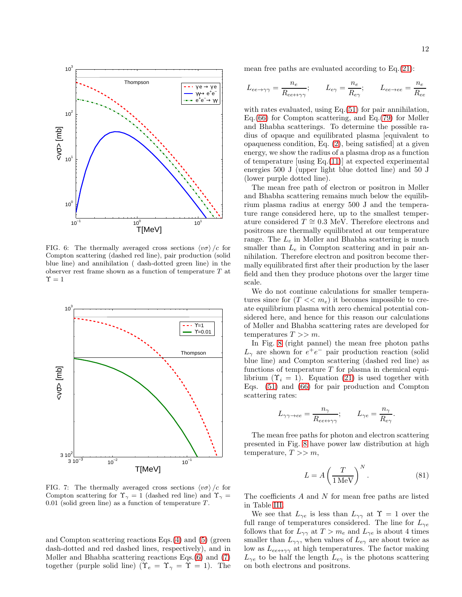

<span id="page-11-0"></span>FIG. 6: The thermally averaged cross sections  $\langle v\sigma \rangle/c$  for Compton scattering (dashed red line), pair production (solid blue line) and annihilation ( dash-dotted green line) in the observer rest frame shown as a function of temperature  ${\cal T}$  at  $\Upsilon = 1$ 



<span id="page-11-1"></span>FIG. 7: The thermally averaged cross sections  $\langle v\sigma \rangle/c$  for Compton scattering for  $\Upsilon_{\gamma} = 1$  (dashed red line) and  $\Upsilon_{\gamma} =$ 0.01 (solid green line) as a function of temperature  $T$ .

and Compton scattering reactions Eqs.[\(4\)](#page-1-0) and [\(5\)](#page-1-6) (green dash-dotted and red dashed lines, respectively), and in Møller and Bhabha scattering reactions Eqs.[\(6\)](#page-1-4) and [\(7\)](#page-1-5) together (purple solid line) ( $\Upsilon_e = \Upsilon_\gamma = \Upsilon = 1$ ). The mean free paths are evaluated according to Eq.[\(21\)](#page-4-5):

$$
L_{ee \to \gamma\gamma} = \frac{n_e}{R_{ee \to \gamma\gamma}};
$$
  $L_{e\gamma} = \frac{n_e}{R_{e\gamma}};$   $L_{ee \to ee} = \frac{n_e}{R_{ee}}$ 

with rates evaluated, using Eq.  $(51)$  for pair annihilation, Eq.[\(66\)](#page-9-3) for Compton scattering, and Eq.[\(79\)](#page-10-4) for Møller and Bhabha scatterings. To determine the possible radius of opaque and equilibrated plasma [equivalent to opaqueness condition, Eq. [\(2\)](#page-0-0), being satisfied] at a given energy, we show the radius of a plasma drop as a function of temperature [using Eq.[\(11\)](#page-2-4)] at expected experimental energies 500 J (upper light blue dotted line) and 50 J (lower purple dotted line).

The mean free path of electron or positron in Møller and Bhabha scattering remains much below the equilibrium plasma radius at energy 500 J and the temperature range considered here, up to the smallest temperature considered  $T \approx 0.3$  MeV. Therefore electrons and positrons are thermally equilibrated at our temperature range. The  $L_e$  in Møller and Bhabha scattering is much smaller than  $L_e$  in Compton scattering and in pair annihilation. Therefore electron and positron become thermally equilibrated first after their production by the laser field and then they produce photons over the larger time scale.

We do not continue calculations for smaller temperatures since for  $(T \ll m_e)$  it becomes impossible to create equilibrium plasma with zero chemical potential considered here, and hence for this reason our calculations of Møller and Bhabha scattering rates are developed for temperatures  $T >> m$ .

In Fig. [8](#page-12-0) (right pannel) the mean free photon paths  $L_{\gamma}$  are shown for  $e^+e^-$  pair production reaction (solid blue line) and Compton scattering (dashed red line) as functions of temperature  $T$  for plasma in chemical equilibrium  $(\Upsilon_i = 1)$ . Equation [\(21\)](#page-4-5) is used together with Eqs. [\(51\)](#page-7-6) and [\(66\)](#page-9-3) for pair production and Compton scattering rates:

$$
L_{\gamma\gamma\to ee}=\frac{n_\gamma}{R_{ee\leftrightarrow\gamma\gamma}}; \qquad L_{\gamma e}=\frac{n_\gamma}{R_{e\gamma}}
$$

The mean free paths for photon and electron scattering presented in Fig. [8](#page-12-0) have power law distribution at high temperature,  $T >> m$ ,

<span id="page-11-2"></span>
$$
L = A \left(\frac{T}{1 \,\text{MeV}}\right)^N. \tag{81}
$$

.

The coefficients  $A$  and  $N$  for mean free paths are listed in Table [III.](#page-12-1)

We see that  $L_{\gamma e}$  is less than  $L_{\gamma\gamma}$  at  $\Upsilon = 1$  over the full range of temperatures considered. The line for  $L_{\gamma e}$ follows that for  $L_{\gamma\gamma}$  at  $T > m_e$  and  $L_{\gamma e}$  is about 4 times smaller than  $L_{\gamma\gamma}$ , when values of  $L_{e\gamma}$  are about twice as low as  $L_{ee \leftrightarrow \gamma\gamma}$  at high temperatures. The factor making  $L_{\gamma e}$  to be half the length  $L_{e\gamma}$  is the photons scattering on both electrons and positrons.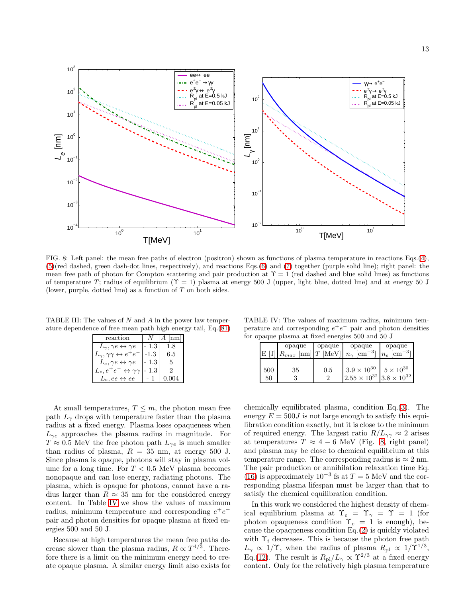

<span id="page-12-0"></span>FIG. 8: Left panel: the mean free paths of electron (positron) shown as functions of plasma temperature in reactions Eqs.[\(4\)](#page-1-0), [\(5\)](#page-1-6)(red dashed, green dash-dot lines, respectively), and reactions Eqs.[\(6\)](#page-1-4) and [\(7\)](#page-1-5) together (purple solid line); right panel: the mean free path of photon for Compton scattering and pair production at  $\Upsilon = 1$  (red dashed and blue solid lines) as functions of temperature T; radius of equilibrium  $(\Upsilon = 1)$  plasma at energy 500 J (upper, light blue, dotted line) and at energy 50 J (lower, purple, dotted line) as a function of  $T$  on both sides.

TABLE III: The values of  $N$  and  $A$  in the power law temperature dependence of free mean path high energy tail, Eq.[\(81\)](#page-11-2)

<span id="page-12-1"></span>

| reaction                                          | N        | $A$ lnm |
|---------------------------------------------------|----------|---------|
| $L_{\gamma}, \gamma e \leftrightarrow \gamma e$   | $-1.3$   | 1.8     |
| $L_{\gamma}, \gamma\gamma \leftrightarrow e^+e^-$ | $-1.3$ I | 6.5     |
| $L_e, \gamma e \leftrightarrow \gamma e$          | $-1.3$   | -5.     |
| $L_e, e^+e^- \leftrightarrow \gamma\gamma$        | $-1.31$  | ٠,      |
| $L_e, ee \leftrightarrow ee$                      |          |         |

At small temperatures,  $T \leq m$ , the photon mean free path  $L_{\gamma}$  drops with temperature faster than the plasma radius at a fixed energy. Plasma loses opaqueness when  $L_{\gamma e}$  approaches the plasma radius in magnitude. For  $T \approx 0.5$  MeV the free photon path  $L_{\gamma e}$  is much smaller than radius of plasma,  $R = 35$  nm, at energy 500 J. Since plasma is opaque, photons will stay in plasma volume for a long time. For  $T < 0.5$  MeV plasma becomes nonopaque and can lose energy, radiating photons. The plasma, which is opaque for photons, cannot have a radius larger than  $R \approx 35$  nm for the considered energy content. In Table [IV](#page-12-2) we show the values of maximum radius, minimum temperature and corresponding  $e^+e^$ pair and photon densities for opaque plasma at fixed energies 500 and 50 J.

Because at high temperatures the mean free paths decrease slower than the plasma radius,  $R \propto T^{4/3}$ . Therefore there is a limit on the minimum energy need to create opaque plasma. A similar energy limit also exists for

TABLE IV: The values of maximum radius, minimum temperature and corresponding  $e^+e^-$  pair and photon densities for opaque plasma at fixed energies 500 and 50 J

<span id="page-12-2"></span>

|           | opaque                    | opaque    | opaque                                                             | opaque                    |  |  |
|-----------|---------------------------|-----------|--------------------------------------------------------------------|---------------------------|--|--|
| E[J]      | $ R_{max}$ [nm] $T$ [MeV] |           | $n_{\gamma}$ [cm <sup>-3</sup> ]                                   | $n_e$ [cm <sup>-3</sup> ] |  |  |
| 500<br>50 | 35                        | 0.5<br>٠, | $3.9 \times 10^{30}$<br>$2.55 \times 10^{32}$ 3.8 $\times 10^{32}$ | $5\times10^{30}$          |  |  |

chemically equilibrated plasma, condition Eq.[\(3\)](#page-1-3). The energy  $E = 500J$  is not large enough to satisfy this equilibration condition exactly, but it is close to the minimum of required energy. The largest ratio  $R/L_{\gamma\gamma} \approx 2$  arises at temperatures  $T \approx 4 - 6$  MeV (Fig. [8,](#page-12-0) right panel) and plasma may be close to chemical equilibrium at this temperature range. The corresponding radius is  $\approx 2$  nm. The pair production or annihilation relaxation time Eq. [\(16\)](#page-3-2) is approximately  $10^{-3}$  fs at  $T = 5$  MeV and the corresponding plasma lifespan must be larger than that to satisfy the chemical equilibration condition.

In this work we considered the highest density of chemical equilibrium plasma at  $\Upsilon_e = \Upsilon_\gamma = \Upsilon = 1$  (for photon opaqueness condition  $\Upsilon_e = 1$  is enough), because the opaqueness condition Eq.[\(2\)](#page-0-0) is quickly violated with  $\Upsilon_i$  decreases. This is because the photon free path  $L_{\gamma} \propto 1/\Upsilon$ , when the radius of plasma  $R_{\rm pl} \propto 1/\Upsilon^{1/3}$ , Eq.[\(12\)](#page-2-5). The result is  $R_{\rm pl}/L_{\gamma} \propto \Upsilon^{2/3}$  at a fixed energy content. Only for the relatively high plasma temperature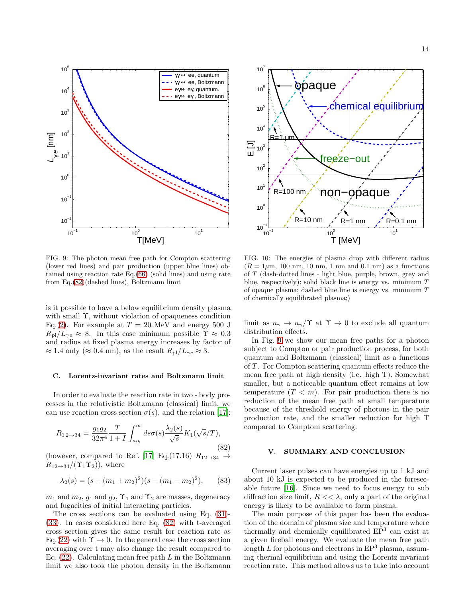

<span id="page-13-3"></span>FIG. 9: The photon mean free path for Compton scattering (lower red lines) and pair production (upper blue lines) obtained using reaction rate Eq.[\(66\)](#page-9-3) (solid lines) and using rate from Eq.[\(82\)](#page-13-2)(dashed lines), Boltzmann limit

is it possible to have a below equilibrium density plasma with small Υ, without violation of opaqueness condition Eq.[\(2\)](#page-0-0). For example at  $T = 20$  MeV and energy 500 J  $R_{\rm pl}/L_{\gamma e} \approx 8$ . In this case minimum possible  $\Upsilon \approx 0.3$ and radius at fixed plasma energy increases by factor of  $\approx 1.4$  only ( $\approx 0.4$  nm), as the result  $R_{\rm pl}/L_{\gamma e} \approx 3$ .

#### <span id="page-13-0"></span>C. Lorentz-invariant rates and Boltzmann limit

In order to evaluate the reaction rate in two - body processes in the relativistic Boltzmann (classical) limit, we can use reaction cross section  $\sigma(s)$ , and the relation [\[17](#page-14-14)]:

<span id="page-13-2"></span>
$$
R_{1\,2\to 34} = \frac{g_1 g_2}{32\pi^4} \frac{T}{1+I} \int_{s_{th}}^{\infty} ds \sigma(s) \frac{\lambda_2(s)}{\sqrt{s}} K_1(\sqrt{s}/T),\tag{82}
$$

(however, compared to Ref. [\[17\]](#page-14-14) Eq.(17.16)  $R_{12\rightarrow34} \rightarrow$  $R_{12\rightarrow 34}/(\Upsilon_1\Upsilon_2)$ , where

$$
\lambda_2(s) = (s - (m_1 + m_2)^2)(s - (m_1 - m_2)^2), \quad (83)
$$

 $m_1$  and  $m_2$ ,  $g_1$  and  $g_2$ ,  $\Upsilon_1$  and  $\Upsilon_2$  are masses, degeneracy and fugacities of initial interacting particles.

The cross sections can be evaluated using Eq. [\(31\)](#page-5-2)- [\(33\)](#page-5-3). In cases considered here Eq. [\(82\)](#page-13-2) with t-averaged cross section gives the same result for reaction rate as Eq.[\(22\)](#page-4-9) with  $\Upsilon \rightarrow 0$ . In the general case the cross section averaging over t may also change the result compared to Eq.  $(22)$ . Calculating mean free path L in the Boltzmann limit we also took the photon density in the Boltzmann



<span id="page-13-4"></span>FIG. 10: The energies of plasma drop with different radius  $(R = 1 \mu \text{m}, 100 \text{ nm}, 10 \text{ nm}, 1 \text{ nm}$  and 0.1 nm) as a functions of T (dash-dotted lines - light blue, purple, brown, grey and blue, respectively); solid black line is energy vs. minimum  $T$ of opaque plasma; dashed blue line is energy vs. minimum T of chemically equilibrated plasma;)

limit as  $n_{\gamma} \rightarrow n_{\gamma}/\Upsilon$  at  $\Upsilon \rightarrow 0$  to exclude all quantum distribution effects.

In Fig. [9](#page-13-3) we show our mean free paths for a photon subject to Compton or pair production process, for both quantum and Boltzmann (classical) limit as a functions of  $T$ . For Compton scattering quantum effects reduce the mean free path at high density (i.e. high T). Somewhat smaller, but a noticeable quantum effect remains at low temperature  $(T < m)$ . For pair production there is no reduction of the mean free path at small temperature because of the threshold energy of photons in the pair production rate, and the smaller reduction for high T compared to Comptom scattering.

## <span id="page-13-1"></span>V. SUMMARY AND CONCLUSION

Current laser pulses can have energies up to 1 kJ and about 10 kJ is expected to be produced in the foreseeable future [\[16\]](#page-14-15). Since we need to focus energy to sub diffraction size limit,  $R \ll \lambda$ , only a part of the original energy is likely to be available to form plasma.

The main purpose of this paper has been the evaluation of the domain of plasma size and temperature where thermally and chemically equilibrated  $EP<sup>3</sup>$  can exist at a given fireball energy. We evaluate the mean free path length  $L$  for photons and electrons in  $EP<sup>3</sup>$  plasma, assuming thermal equilibrium and using the Lorentz invariant reaction rate. This method allows us to take into account